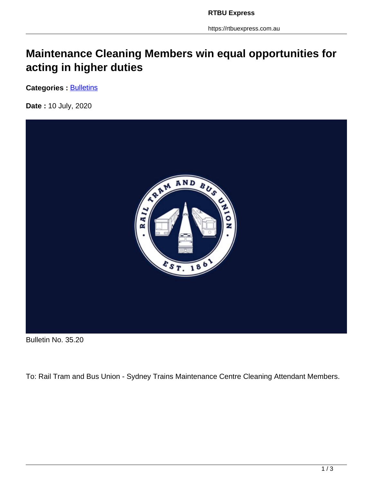https://rtbuexpress.com.au

## **Maintenance Cleaning Members win equal opportunities for acting in higher duties**

**Categories : [Bulletins](https://rtbuexpress.com.au/category/news/bulletins/)** 

**Date :** 10 July, 2020



Bulletin No. 35.20

To: Rail Tram and Bus Union - Sydney Trains Maintenance Centre Cleaning Attendant Members.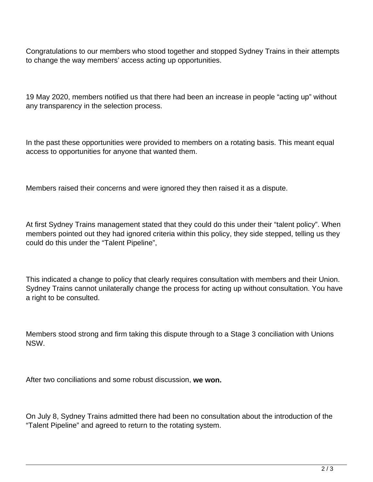Congratulations to our members who stood together and stopped Sydney Trains in their attempts to change the way members' access acting up opportunities.

19 May 2020, members notified us that there had been an increase in people "acting up" without any transparency in the selection process.

In the past these opportunities were provided to members on a rotating basis. This meant equal access to opportunities for anyone that wanted them.

Members raised their concerns and were ignored they then raised it as a dispute.

At first Sydney Trains management stated that they could do this under their "talent policy". When members pointed out they had ignored criteria within this policy, they side stepped, telling us they could do this under the "Talent Pipeline",

This indicated a change to policy that clearly requires consultation with members and their Union. Sydney Trains cannot unilaterally change the process for acting up without consultation. You have a right to be consulted.

Members stood strong and firm taking this dispute through to a Stage 3 conciliation with Unions NSW.

After two conciliations and some robust discussion, **we won.**

On July 8, Sydney Trains admitted there had been no consultation about the introduction of the "Talent Pipeline" and agreed to return to the rotating system.